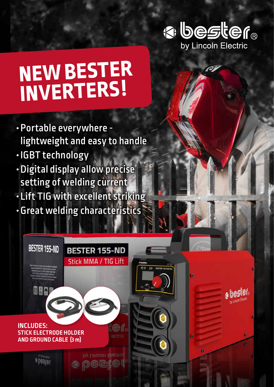

a bester

# **NEW BESTER INVERTERS !**

- Portable everywhere lightweight and easy to handle
- IGBT technology
- Digital display allow precise setting of welding current
- Lift TIG with excellent striking
- Great welding characteristics

**BESTER 155-ND** 

**Stick MMA / TIG Lift** 

 $10$ 

**BESTARTIO** 



**BESTER 155-ND** 

mea

by Lincoln Electric  $\left( \leq 1 \right)$